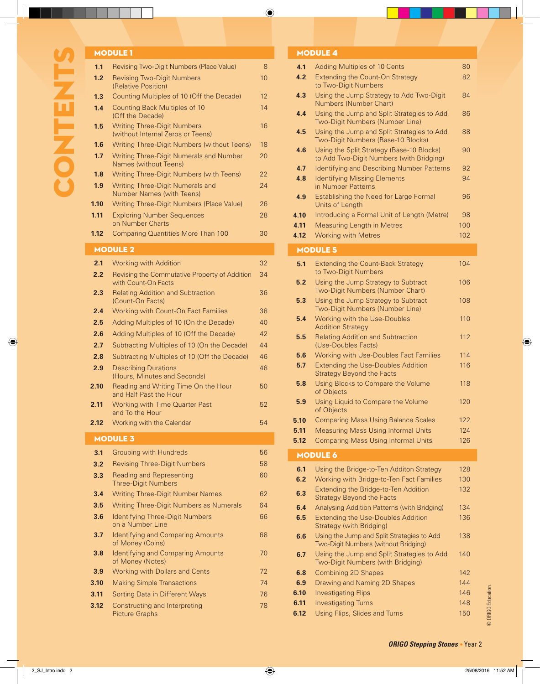|                  | <b>MODULE 1</b>                                                             |    |
|------------------|-----------------------------------------------------------------------------|----|
| 1.1              | Revising Two-Digit Numbers (Place Value)                                    | 8  |
| 1.2              | <b>Revising Two-Digit Numbers</b><br>(Relative Position)                    | 10 |
| 1.3 <sub>1</sub> | Counting Multiples of 10 (Off the Decade)                                   | 12 |
| 1.4              | Counting Back Multiples of 10<br>(Off the Decade)                           | 14 |
| 1.5              | <b>Writing Three-Digit Numbers</b><br>(without Internal Zeros or Teens)     | 16 |
| 1.6              | Writing Three-Digit Numbers (without Teens)                                 | 18 |
| 1.7 <sub>2</sub> | <b>Writing Three-Digit Numerals and Number</b><br>Names (without Teens)     | 20 |
| 1.8 <sup>°</sup> | Writing Three-Digit Numbers (with Teens)                                    | 22 |
| 1.9              | <b>Writing Three-Digit Numerals and</b><br><b>Number Names (with Teens)</b> | 24 |
| 1.10             | Writing Three-Digit Numbers (Place Value)                                   | 26 |
| 1.11             | <b>Exploring Number Sequences</b><br>on Number Charts                       | 28 |
| 1.12             | <b>Comparing Quantities More Than 100</b>                                   | 30 |
|                  | <b>LIANIII FA</b>                                                           |    |

#### MODULE 2

| 2.1  | <b>Working with Addition</b>                                         | 32 |
|------|----------------------------------------------------------------------|----|
| 2.2  | Revising the Commutative Property of Addition<br>with Count-On Facts | 34 |
| 2.3  | <b>Relating Addition and Subtraction</b><br>(Count-On Facts)         | 36 |
| 2.4  | Working with Count-On Fact Families                                  | 38 |
| 2.5  | Adding Multiples of 10 (On the Decade)                               | 40 |
| 2.6  | Adding Multiples of 10 (Off the Decade)                              | 42 |
| 2.7  | Subtracting Multiples of 10 (On the Decade)                          | 44 |
| 2.8  | Subtracting Multiples of 10 (Off the Decade)                         | 46 |
| 2.9  | <b>Describing Durations</b><br>(Hours, Minutes and Seconds)          | 48 |
| 2.10 | Reading and Writing Time On the Hour<br>and Half Past the Hour       | 50 |
| 2.11 | <b>Working with Time Quarter Past</b><br>and To the Hour             | 52 |
| 2.12 | Working with the Calendar                                            | 54 |
|      |                                                                      |    |
|      | <b>MODULE 3</b>                                                      |    |
| 3.1  | <b>Grouping with Hundreds</b>                                        | 56 |
| 3.2  | <b>Revising Three-Digit Numbers</b>                                  | 58 |
| 3.3  | <b>Reading and Representing</b><br><b>Three-Digit Numbers</b>        | 60 |
| 3.4  | <b>Writing Three-Digit Number Names</b>                              | 62 |
| 3.5  | Writing Three-Digit Numbers as Numerals                              | 64 |
| 3.6  | <b>Identifying Three-Digit Numbers</b><br>on a Number Line           | 66 |
| 3.7  | <b>Identifying and Comparing Amounts</b><br>of Money (Coins)         | 68 |
| 3.8  | <b>Identifying and Comparing Amounts</b><br>of Money (Notes)         | 70 |
| 3.9  | Working with Dollars and Cents                                       | 72 |
| 3.10 | <b>Making Simple Transactions</b>                                    | 74 |
| 3.11 | Sorting Data in Different Ways                                       | 76 |
| 3.12 | Constructing and Interpreting<br><b>Picture Graphs</b>               | 78 |

#### MODULE 4

|      | MODULE 4                                                                              |     |
|------|---------------------------------------------------------------------------------------|-----|
| 4.1  | <b>Adding Multiples of 10 Cents</b>                                                   | 80  |
| 4.2  | <b>Extending the Count-On Strategy</b><br>to Two-Digit Numbers                        | 82  |
| 4.3  | Using the Jump Strategy to Add Two-Digit<br>Numbers (Number Chart)                    | 84  |
| 4.4  | Using the Jump and Split Strategies to Add<br>Two-Digit Numbers (Number Line)         | 86  |
| 4.5  | Using the Jump and Split Strategies to Add<br>Two-Digit Numbers (Base-10 Blocks)      | 88  |
| 4.6  | Using the Split Strategy (Base-10 Blocks)<br>to Add Two-Digit Numbers (with Bridging) | 90  |
| 4.7  | Identifying and Describing Number Patterns                                            | 92  |
| 4.8  | <b>Identifying Missing Elements</b><br>in Number Patterns                             | 94  |
| 4.9  | Establishing the Need for Large Formal<br>Units of Length                             | 96  |
| 4.10 | Introducing a Formal Unit of Length (Metre)                                           | 98  |
| 4.11 | <b>Measuring Length in Metres</b>                                                     | 100 |
| 4.12 | <b>Working with Metres</b>                                                            | 102 |
|      | <b>MODULE 5</b>                                                                       |     |
| 5.1  | <b>Extending the Count-Back Strategy</b><br>to Two-Digit Numbers                      | 104 |
| 5.2  | Using the Jump Strategy to Subtract<br>Two-Digit Numbers (Number Chart)               | 106 |
| 5.3  | Using the Jump Strategy to Subtract<br>Two-Digit Numbers (Number Line)                | 108 |
| 5.4  | Working with the Use-Doubles<br><b>Addition Strategy</b>                              | 110 |
| 5.5  | <b>Relating Addition and Subtraction</b><br>(Use-Doubles Facts)                       | 112 |
| 5.6  | Working with Use-Doubles Fact Families                                                | 114 |
| 5.7  | <b>Extending the Use-Doubles Addition</b><br><b>Strategy Beyond the Facts</b>         | 116 |
| 5.8  | Using Blocks to Compare the Volume<br>of Objects                                      | 118 |
| 5.9  | Using Liquid to Compare the Volume<br>of Objects                                      | 120 |
| 5.10 | <b>Comparing Mass Using Balance Scales</b>                                            | 122 |
| 5.11 | <b>Measuring Mass Using Informal Units</b>                                            | 124 |
| 5.12 | <b>Comparing Mass Using Informal Units</b>                                            | 126 |
|      | <b>MODULE 6</b>                                                                       |     |
| 6.1  | Using the Bridge-to-Ten Additon Strategy                                              | 128 |
| 6.2  | Working with Bridge-to-Ten Fact Families                                              | 130 |
| 6.3  | Extending the Bridge-to-Ten Addition<br><b>Strategy Beyond the Facts</b>              | 132 |
| 6.4  | Analysing Addition Patterns (with Bridging)                                           | 134 |
| 6.5  | <b>Extending the Use-Doubles Addition</b><br><b>Strategy (with Bridging)</b>          | 136 |
| 6.6  | Using the Jump and Split Strategies to Add<br>Two-Digit Numbers (without Bridging)    | 138 |
| 6.7  | Using the Jump and Split Strategies to Add<br>Two-Digit Numbers (with Bridging)       | 140 |
| 6.8  | <b>Combining 2D Shapes</b>                                                            | 142 |
| 6.9  | Drawing and Naming 2D Shapes                                                          | 144 |
| 6.10 | <b>Investigating Flips</b>                                                            | 146 |

**6.11** Investigating Turns 148 **6.12** Using Flips, Slides and Turns 150